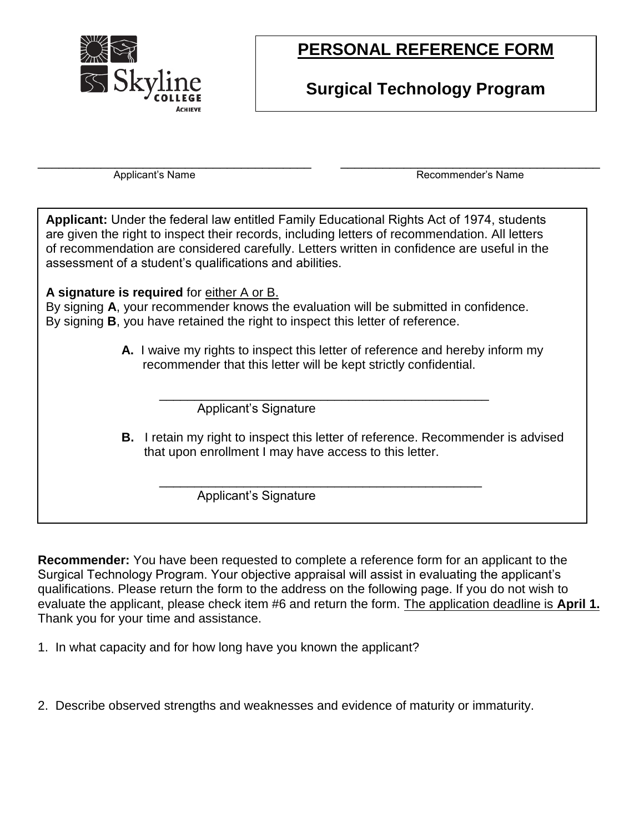

# **PERSONAL REFERENCE FORM**

### **Surgical Technology Program**

\_\_\_\_\_\_\_\_\_\_\_\_\_\_\_\_\_\_\_\_\_\_\_\_\_\_\_\_\_\_\_\_\_\_\_\_\_\_\_ \_\_\_\_\_\_\_\_\_\_\_\_\_\_\_\_\_\_\_\_\_\_\_\_\_\_\_\_\_\_\_\_\_\_\_\_\_

Applicant's Name **Recommender's Name** Recommender's Name

**Applicant:** Under the federal law entitled Family Educational Rights Act of 1974, students are given the right to inspect their records, including letters of recommendation. All letters of recommendation are considered carefully. Letters written in confidence are useful in the assessment of a student's qualifications and abilities.

#### **A signature is required** for either A or B.

By signing **A**, your recommender knows the evaluation will be submitted in confidence. By signing **B**, you have retained the right to inspect this letter of reference.

> **A.** I waive my rights to inspect this letter of reference and hereby inform my recommender that this letter will be kept strictly confidential.

\_\_\_\_\_\_\_\_\_\_\_\_\_\_\_\_\_\_\_\_\_\_\_\_\_\_\_\_\_\_\_\_\_\_\_\_\_\_\_\_\_\_\_\_\_\_\_

\_\_\_\_\_\_\_\_\_\_\_\_\_\_\_\_\_\_\_\_\_\_\_\_\_\_\_\_\_\_\_\_\_\_\_\_\_\_\_\_\_\_\_\_\_\_

Applicant's Signature

**B.** I retain my right to inspect this letter of reference. Recommender is advised that upon enrollment I may have access to this letter.

Applicant's Signature

**Recommender:** You have been requested to complete a reference form for an applicant to the Surgical Technology Program. Your objective appraisal will assist in evaluating the applicant's qualifications. Please return the form to the address on the following page. If you do not wish to evaluate the applicant, please check item #6 and return the form. The application deadline is **April 1.** Thank you for your time and assistance.

1. In what capacity and for how long have you known the applicant?

2. Describe observed strengths and weaknesses and evidence of maturity or immaturity.